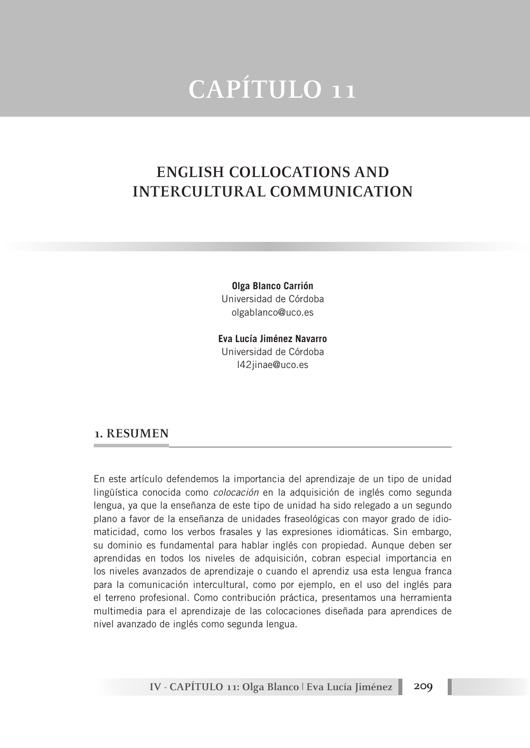# **CAPÍTULO 11**

# **ENGLISH COLLOCATIONS AND INTERCULTURAL COMMUNICATION**

**Olga Blanco Carrión** Universidad de Córdoba olgablanco@uco.es

**Eva Lucía Jiménez Navarro** Universidad de Córdoba l42jinae@uco.es

#### **1. RESUMEN**

En este artículo defendemos la importancia del aprendizaje de un tipo de unidad lingüística conocida como *colocación* en la adquisición de inglés como segunda lengua, ya que la enseñanza de este tipo de unidad ha sido relegado a un segundo plano a favor de la enseñanza de unidades fraseológicas con mayor grado de idiomaticidad, como los verbos frasales y las expresiones idiomáticas. Sin embargo, su dominio es fundamental para hablar inglés con propiedad. Aunque deben ser aprendidas en todos los niveles de adquisición, cobran especial importancia en los niveles avanzados de aprendizaje o cuando el aprendiz usa esta lengua franca para la comunicación intercultural, como por ejemplo, en el uso del inglés para el terreno profesional. Como contribución práctica, presentamos una herramienta multimedia para el aprendizaje de las colocaciones diseñada para aprendices de nivel avanzado de inglés como segunda lengua.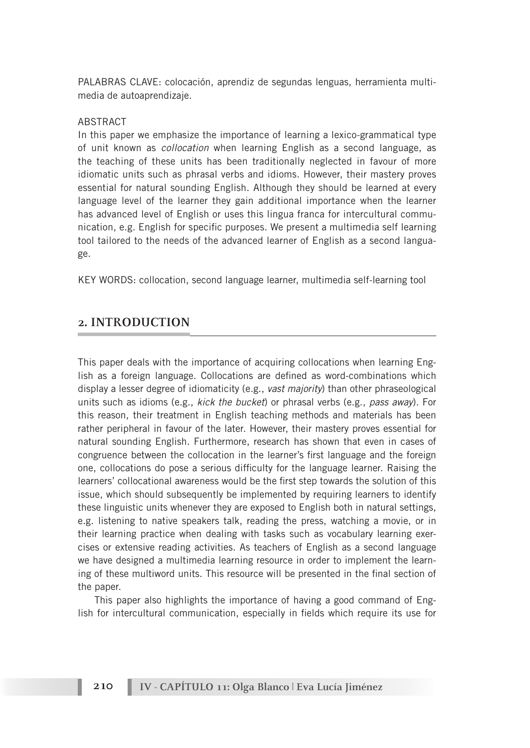PALABRAS CLAVE: colocación, aprendiz de segundas lenguas, herramienta multimedia de autoaprendizaje.

#### ABSTRACT

In this paper we emphasize the importance of learning a lexico-grammatical type of unit known as *collocation* when learning English as a second language, as the teaching of these units has been traditionally neglected in favour of more idiomatic units such as phrasal verbs and idioms. However, their mastery proves essential for natural sounding English. Although they should be learned at every language level of the learner they gain additional importance when the learner has advanced level of English or uses this lingua franca for intercultural communication, e.g. English for specific purposes. We present a multimedia self learning tool tailored to the needs of the advanced learner of English as a second language.

KEY WORDS: collocation, second language learner, multimedia self-learning tool

### **2. INTRODUCTION**

This paper deals with the importance of acquiring collocations when learning English as a foreign language. Collocations are defined as word-combinations which display a lesser degree of idiomaticity (e.g., *vast majority*) than other phraseological units such as idioms (e.g., *kick the bucket*) or phrasal verbs (e.g., *pass away*). For this reason, their treatment in English teaching methods and materials has been rather peripheral in favour of the later. However, their mastery proves essential for natural sounding English. Furthermore, research has shown that even in cases of congruence between the collocation in the learner's first language and the foreign one, collocations do pose a serious difficulty for the language learner. Raising the learners' collocational awareness would be the first step towards the solution of this issue, which should subsequently be implemented by requiring learners to identify these linguistic units whenever they are exposed to English both in natural settings, e.g. listening to native speakers talk, reading the press, watching a movie, or in their learning practice when dealing with tasks such as vocabulary learning exercises or extensive reading activities. As teachers of English as a second language we have designed a multimedia learning resource in order to implement the learning of these multiword units. This resource will be presented in the final section of the paper.

This paper also highlights the importance of having a good command of English for intercultural communication, especially in fields which require its use for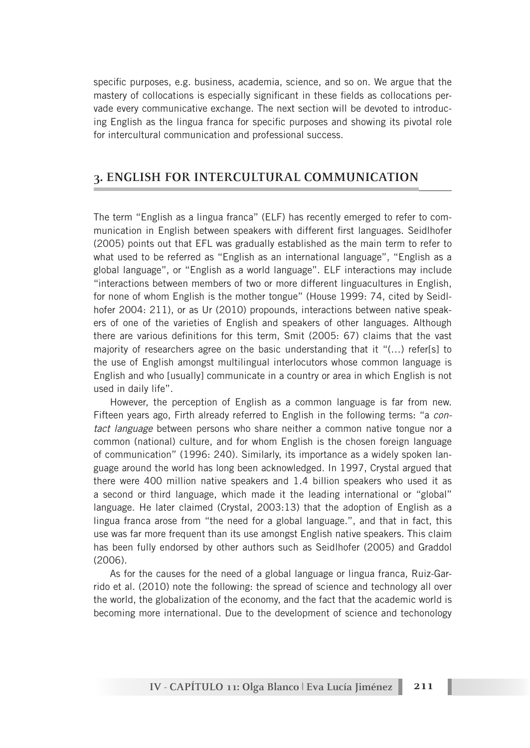specific purposes, e.g. business, academia, science, and so on. We argue that the mastery of collocations is especially significant in these fields as collocations pervade every communicative exchange. The next section will be devoted to introducing English as the lingua franca for specific purposes and showing its pivotal role for intercultural communication and professional success.

### **3. ENGLISH FOR INTERCULTURAL COMMUNICATION**

The term "English as a lingua franca" (ELF) has recently emerged to refer to communication in English between speakers with different first languages. Seidlhofer (2005) points out that EFL was gradually established as the main term to refer to what used to be referred as "English as an international language", "English as a global language", or "English as a world language". ELF interactions may include "interactions between members of two or more different linguacultures in English, for none of whom English is the mother tongue" (House 1999: 74, cited by Seidlhofer 2004: 211), or as Ur (2010) propounds, interactions between native speakers of one of the varieties of English and speakers of other languages. Although there are various definitions for this term, Smit (2005: 67) claims that the vast majority of researchers agree on the basic understanding that it "(…) refer[s] to the use of English amongst multilingual interlocutors whose common language is English and who [usually] communicate in a country or area in which English is not used in daily life".

However, the perception of English as a common language is far from new. Fifteen years ago, Firth already referred to English in the following terms: "a *contact language* between persons who share neither a common native tongue nor a common (national) culture, and for whom English is the chosen foreign language of communication" (1996: 240). Similarly, its importance as a widely spoken language around the world has long been acknowledged. In 1997, Crystal argued that there were 400 million native speakers and 1.4 billion speakers who used it as a second or third language, which made it the leading international or "global" language. He later claimed (Crystal, 2003:13) that the adoption of English as a lingua franca arose from "the need for a global language.", and that in fact, this use was far more frequent than its use amongst English native speakers. This claim has been fully endorsed by other authors such as Seidlhofer (2005) and Graddol (2006).

As for the causes for the need of a global language or lingua franca, Ruiz-Garrido et al. (2010) note the following: the spread of science and technology all over the world, the globalization of the economy, and the fact that the academic world is becoming more international. Due to the development of science and techonology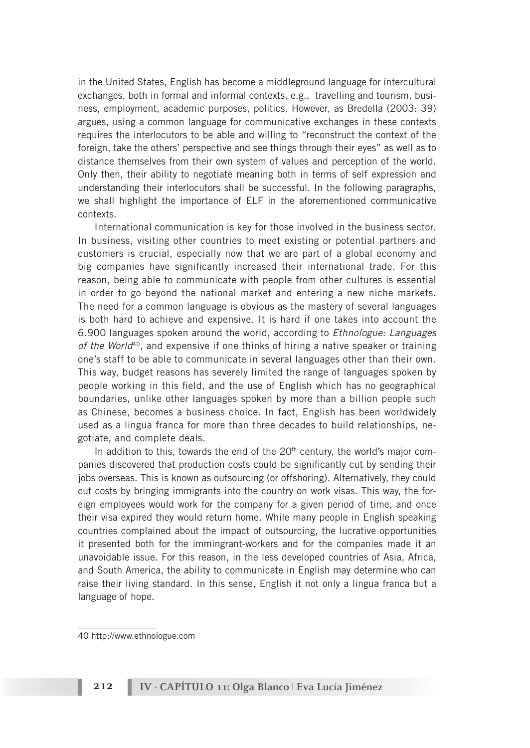in the United States, English has become a middleground language for intercultural exchanges, both in formal and informal contexts, e.g., travelling and tourism, business, employment, academic purposes, politics. However, as Bredella (2003: 39) argues, using a common language for communicative exchanges in these contexts requires the interlocutors to be able and willing to "reconstruct the context of the foreign, take the others' perspective and see things through their eyes" as well as to distance themselves from their own system of values and perception of the world. Only then, their ability to negotiate meaning both in terms of self expression and understanding their interlocutors shall be successful. In the following paragraphs, we shall highlight the importance of ELF in the aforementioned communicative contexts.

International communication is key for those involved in the business sector. In business, visiting other countries to meet existing or potential partners and customers is crucial, especially now that we are part of a global economy and big companies have significantly increased their international trade. For this reason, being able to communicate with people from other cultures is essential in order to go beyond the national market and entering a new niche markets. The need for a common language is obvious as the mastery of several languages is both hard to achieve and expensive. It is hard if one takes into account the 6.900 languages spoken around the world, according to *Ethnologue: Languages of the World*40, and expensive if one thinks of hiring a native speaker or training one's staff to be able to communicate in several languages other than their own. This way, budget reasons has severely limited the range of languages spoken by people working in this field, and the use of English which has no geographical boundaries, unlike other languages spoken by more than a billion people such as Chinese, becomes a business choice. In fact, English has been worldwidely used as a lingua franca for more than three decades to build relationships, negotiate, and complete deals.

In addition to this, towards the end of the  $20<sup>th</sup>$  century, the world's major companies discovered that production costs could be significantly cut by sending their jobs overseas. This is known as outsourcing (or offshoring). Alternatively, they could cut costs by bringing immigrants into the country on work visas. This way, the foreign employees would work for the company for a given period of time, and once their visa expired they would return home. While many people in English speaking countries complained about the impact of outsourcing, the lucrative opportunities it presented both for the immingrant-workers and for the companies made it an unavoidable issue. For this reason, in the less developed countries of Asia, Africa, and South America, the ability to communicate in English may determine who can raise their living standard. In this sense, English it not only a lingua franca but a language of hope.

<sup>40</sup> http://www.ethnologue.com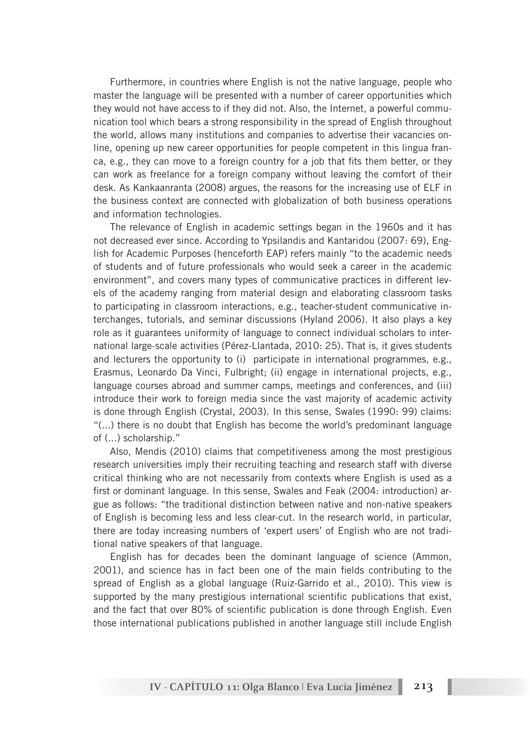Furthermore, in countries where English is not the native language, people who master the language will be presented with a number of career opportunities which they would not have access to if they did not. Also, the Internet, a powerful communication tool which bears a strong responsibility in the spread of English throughout the world, allows many institutions and companies to advertise their vacancies online, opening up new career opportunities for people competent in this lingua franca, e.g., they can move to a foreign country for a job that fits them better, or they can work as freelance for a foreign company without leaving the comfort of their desk. As Kankaanranta (2008) argues, the reasons for the increasing use of ELF in the business context are connected with globalization of both business operations and information technologies.

The relevance of English in academic settings began in the 1960s and it has not decreased ever since. According to Ypsilandis and Kantaridou (2007: 69), English for Academic Purposes (henceforth EAP) refers mainly "to the academic needs of students and of future professionals who would seek a career in the academic environment", and covers many types of communicative practices in different levels of the academy ranging from material design and elaborating classroom tasks to participating in classroom interactions, e.g., teacher-student communicative interchanges, tutorials, and seminar discussions (Hyland 2006). It also plays a key role as it guarantees uniformity of language to connect individual scholars to international large-scale activities (Pérez-Llantada, 2010: 25). That is, it gives students and lecturers the opportunity to (i) participate in international programmes, e.g., Erasmus, Leonardo Da Vinci, Fulbright; (ii) engage in international projects, e.g., language courses abroad and summer camps, meetings and conferences, and (iii) introduce their work to foreign media since the vast majority of academic activity is done through English (Crystal, 2003). In this sense, Swales (1990: 99) claims: "(...) there is no doubt that English has become the world's predominant language of (...) scholarship."

Also, Mendis (2010) claims that competitiveness among the most prestigious research universities imply their recruiting teaching and research staff with diverse critical thinking who are not necessarily from contexts where English is used as a first or dominant language. In this sense, Swales and Feak (2004: introduction) argue as follows: "the traditional distinction between native and non-native speakers of English is becoming less and less clear-cut. In the research world, in particular, there are today increasing numbers of 'expert users' of English who are not traditional native speakers of that language.

English has for decades been the dominant language of science (Ammon, 2001), and science has in fact been one of the main fields contributing to the spread of English as a global language (Ruiz-Garrido et al., 2010). This view is supported by the many prestigious international scientific publications that exist, and the fact that over 80% of scientific publication is done through English. Even those international publications published in another language still include English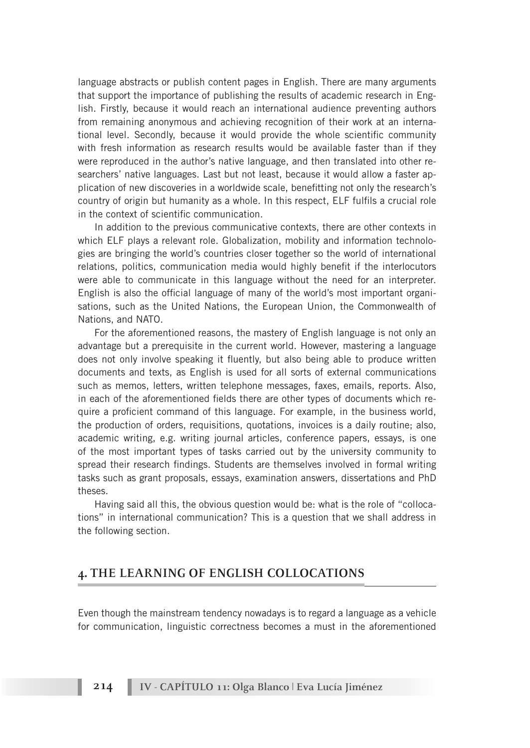language abstracts or publish content pages in English. There are many arguments that support the importance of publishing the results of academic research in English. Firstly, because it would reach an international audience preventing authors from remaining anonymous and achieving recognition of their work at an international level. Secondly, because it would provide the whole scientific community with fresh information as research results would be available faster than if they were reproduced in the author's native language, and then translated into other researchers' native languages. Last but not least, because it would allow a faster application of new discoveries in a worldwide scale, benefitting not only the research's country of origin but humanity as a whole. In this respect, ELF fulfils a crucial role in the context of scientific communication.

In addition to the previous communicative contexts, there are other contexts in which ELF plays a relevant role. Globalization, mobility and information technologies are bringing the world's countries closer together so the world of international relations, politics, communication media would highly benefit if the interlocutors were able to communicate in this language without the need for an interpreter. English is also the official language of many of the world's most important organisations, such as the United Nations, the European Union, the Commonwealth of Nations, and NATO.

For the aforementioned reasons, the mastery of English language is not only an advantage but a prerequisite in the current world. However, mastering a language does not only involve speaking it fluently, but also being able to produce written documents and texts, as English is used for all sorts of external communications such as memos, letters, written telephone messages, faxes, emails, reports. Also, in each of the aforementioned fields there are other types of documents which require a proficient command of this language. For example, in the business world, the production of orders, requisitions, quotations, invoices is a daily routine; also, academic writing, e.g. writing journal articles, conference papers, essays, is one of the most important types of tasks carried out by the university community to spread their research findings. Students are themselves involved in formal writing tasks such as grant proposals, essays, examination answers, dissertations and PhD theses.

Having said all this, the obvious question would be: what is the role of "collocations" in international communication? This is a question that we shall address in the following section.

### **4. THE LEARNING OF ENGLISH COLLOCATIONS**

Even though the mainstream tendency nowadays is to regard a language as a vehicle for communication, linguistic correctness becomes a must in the aforementioned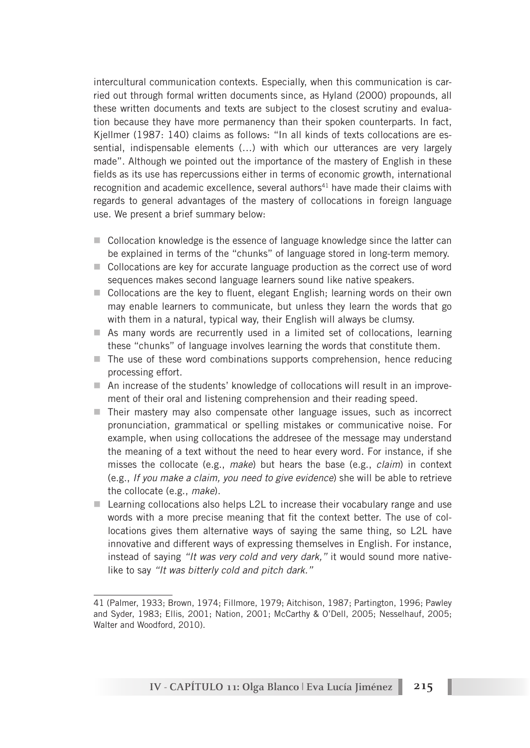intercultural communication contexts. Especially, when this communication is carried out through formal written documents since, as Hyland (2000) propounds, all these written documents and texts are subject to the closest scrutiny and evaluation because they have more permanency than their spoken counterparts. In fact, Kjellmer (1987: 140) claims as follows: "In all kinds of texts collocations are essential, indispensable elements (…) with which our utterances are very largely made". Although we pointed out the importance of the mastery of English in these fields as its use has repercussions either in terms of economic growth, international recognition and academic excellence, several authors<sup>41</sup> have made their claims with regards to general advantages of the mastery of collocations in foreign language use. We present a brief summary below:

- $\Box$  Collocation knowledge is the essence of language knowledge since the latter can be explained in terms of the "chunks" of language stored in long-term memory.
- $\blacksquare$  Collocations are key for accurate language production as the correct use of word sequences makes second language learners sound like native speakers.
- $\blacksquare$  Collocations are the key to fluent, elegant English; learning words on their own may enable learners to communicate, but unless they learn the words that go with them in a natural, typical way, their English will always be clumsy.
- $\blacksquare$  As many words are recurrently used in a limited set of collocations, learning these "chunks" of language involves learning the words that constitute them.
- $\blacksquare$  The use of these word combinations supports comprehension, hence reducing processing effort.
- $\blacksquare$  An increase of the students' knowledge of collocations will result in an improvement of their oral and listening comprehension and their reading speed.
- $\blacksquare$  Their mastery may also compensate other language issues, such as incorrect pronunciation, grammatical or spelling mistakes or communicative noise. For example, when using collocations the addresee of the message may understand the meaning of a text without the need to hear every word. For instance, if she misses the collocate (e.g., *make*) but hears the base (e.g., *claim*) in context (e.g., *If you make a claim, you need to give evidence*) she will be able to retrieve the collocate (e.g., *make*).
- $\blacksquare$  Learning collocations also helps L2L to increase their vocabulary range and use words with a more precise meaning that fit the context better. The use of collocations gives them alternative ways of saying the same thing, so L2L have innovative and different ways of expressing themselves in English. For instance, instead of saying *"It was very cold and very dark,"* it would sound more nativelike to say *"It was bitterly cold and pitch dark."*

<sup>41 (</sup>Palmer, 1933; Brown, 1974; Fillmore, 1979; Aitchison, 1987; Partington, 1996; Pawley and Syder, 1983; Ellis, 2001; Nation, 2001; McCarthy & O'Dell, 2005; Nesselhauf, 2005; Walter and Woodford, 2010).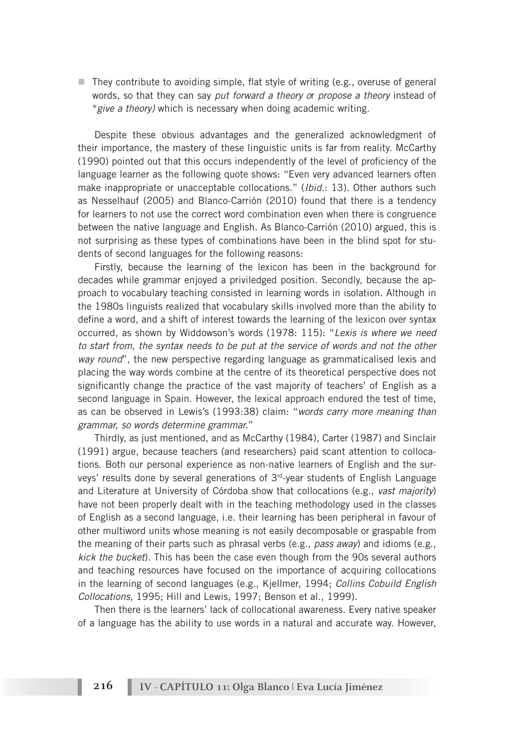$\blacksquare$  They contribute to avoiding simple, flat style of writing (e.g., overuse of general words, so that they can say *put forward a theory o*r *propose a theory* instead of \**give a theory)* which is necessary when doing academic writing.

Despite these obvious advantages and the generalized acknowledgment of their importance, the mastery of these linguistic units is far from reality. McCarthy (1990) pointed out that this occurs independently of the level of proficiency of the language learner as the following quote shows: "Even very advanced learners often make inappropriate or unacceptable collocations." (*Ibid*.: 13). Other authors such as Nesselhauf (2005) and Blanco-Carrión (2010) found that there is a tendency for learners to not use the correct word combination even when there is congruence between the native language and English. As Blanco-Carrión (2010) argued, this is not surprising as these types of combinations have been in the blind spot for students of second languages for the following reasons:

Firstly, because the learning of the lexicon has been in the background for decades while grammar enjoyed a priviledged position. Secondly, because the approach to vocabulary teaching consisted in learning words in isolation. Although in the 1980s linguists realized that vocabulary skills involved more than the ability to define a word, and a shift of interest towards the learning of the lexicon over syntax occurred, as shown by Widdowson's words (1978: 115): "*Lexis is where we need to start from, the syntax needs to be put at the service of words and not the other way round*", the new perspective regarding language as grammaticalised lexis and placing the way words combine at the centre of its theoretical perspective does not significantly change the practice of the vast majority of teachers' of English as a second language in Spain. However, the lexical approach endured the test of time, as can be observed in Lewis's (1993:38) claim: "*words carry more meaning than grammar, so words determine grammar.*"

Thirdly, as just mentioned, and as McCarthy (1984), Carter (1987) and Sinclair (1991) argue, because teachers (and researchers) paid scant attention to collocations. Both our personal experience as non-native learners of English and the surveys' results done by several generations of  $3<sup>rd</sup>$ -year students of English Language and Literature at University of Córdoba show that collocations (e.g., *vast majority*) have not been properly dealt with in the teaching methodology used in the classes of English as a second language, i.e. their learning has been peripheral in favour of other multiword units whose meaning is not easily decomposable or graspable from the meaning of their parts such as phrasal verbs (e.g., *pass away*) and idioms (e.g., *kick the bucket*). This has been the case even though from the 90s several authors and teaching resources have focused on the importance of acquiring collocations in the learning of second languages (e.g., Kjellmer, 1994; *Collins Cobuild English Collocations*, 1995; Hill and Lewis, 1997; Benson et al., 1999).

Then there is the learners' lack of collocational awareness. Every native speaker of a language has the ability to use words in a natural and accurate way. However,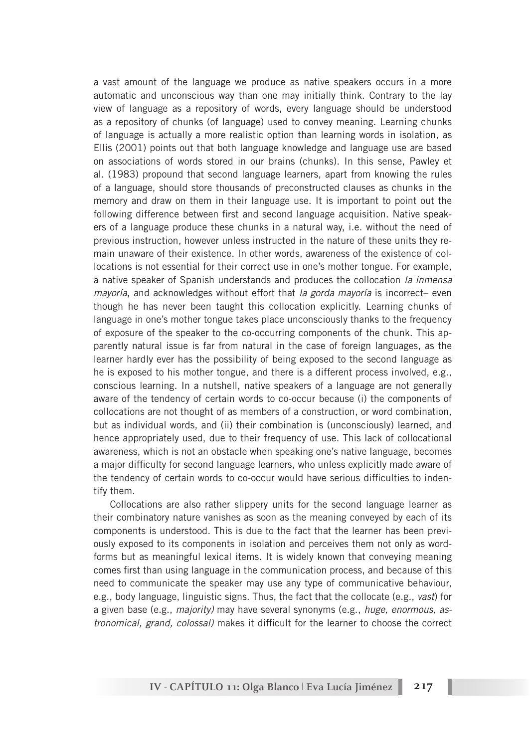a vast amount of the language we produce as native speakers occurs in a more automatic and unconscious way than one may initially think. Contrary to the lay view of language as a repository of words, every language should be understood as a repository of chunks (of language) used to convey meaning. Learning chunks of language is actually a more realistic option than learning words in isolation, as Ellis (2001) points out that both language knowledge and language use are based on associations of words stored in our brains (chunks). In this sense, Pawley et al. (1983) propound that second language learners, apart from knowing the rules of a language, should store thousands of preconstructed clauses as chunks in the memory and draw on them in their language use. It is important to point out the following difference between first and second language acquisition. Native speakers of a language produce these chunks in a natural way, i.e. without the need of previous instruction, however unless instructed in the nature of these units they remain unaware of their existence. In other words, awareness of the existence of collocations is not essential for their correct use in one's mother tongue. For example, a native speaker of Spanish understands and produces the collocation *la inmensa mayoría*, and acknowledges without effort that *la gorda mayoría* is incorrect– even though he has never been taught this collocation explicitly. Learning chunks of language in one's mother tongue takes place unconsciously thanks to the frequency of exposure of the speaker to the co-occurring components of the chunk. This apparently natural issue is far from natural in the case of foreign languages, as the learner hardly ever has the possibility of being exposed to the second language as he is exposed to his mother tongue, and there is a different process involved, e.g., conscious learning. In a nutshell, native speakers of a language are not generally aware of the tendency of certain words to co-occur because (i) the components of collocations are not thought of as members of a construction, or word combination, but as individual words, and (ii) their combination is (unconsciously) learned, and hence appropriately used, due to their frequency of use. This lack of collocational awareness, which is not an obstacle when speaking one's native language, becomes a major difficulty for second language learners, who unless explicitly made aware of the tendency of certain words to co-occur would have serious difficulties to indentify them.

Collocations are also rather slippery units for the second language learner as their combinatory nature vanishes as soon as the meaning conveyed by each of its components is understood. This is due to the fact that the learner has been previously exposed to its components in isolation and perceives them not only as wordforms but as meaningful lexical items. It is widely known that conveying meaning comes first than using language in the communication process, and because of this need to communicate the speaker may use any type of communicative behaviour, e.g., body language, linguistic signs. Thus, the fact that the collocate (e.g*.*, *vast*) for a given base (e.g., *majority)* may have several synonyms (e.g., *huge, enormous, astronomical, grand, colossal)* makes it difficult for the learner to choose the correct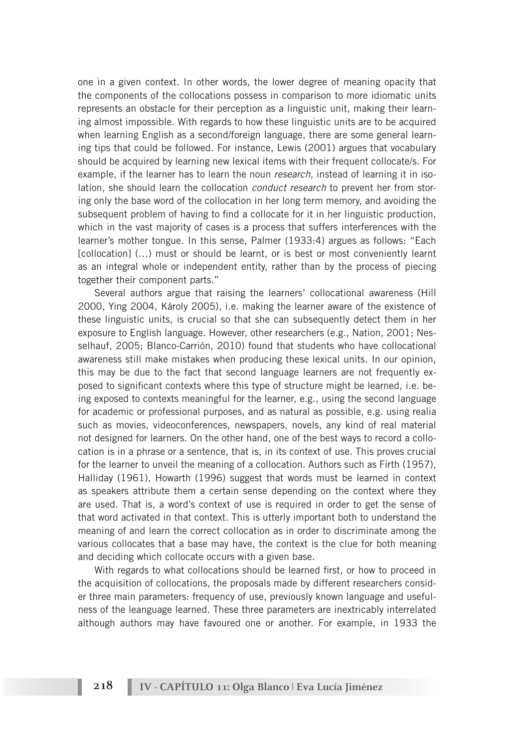one in a given context. In other words, the lower degree of meaning opacity that the components of the collocations possess in comparison to more idiomatic units represents an obstacle for their perception as a linguistic unit, making their learning almost impossible. With regards to how these linguistic units are to be acquired when learning English as a second/foreign language, there are some general learning tips that could be followed. For instance, Lewis (2001) argues that vocabulary should be acquired by learning new lexical items with their frequent collocate/s. For example, if the learner has to learn the noun *research*, instead of learning it in isolation, she should learn the collocation *conduct research* to prevent her from storing only the base word of the collocation in her long term memory, and avoiding the subsequent problem of having to find a collocate for it in her linguistic production. which in the vast majority of cases is a process that suffers interferences with the learner's mother tongue. In this sense, Palmer (1933:4) argues as follows: "Each [collocation] (...) must or should be learnt, or is best or most conveniently learnt as an integral whole or independent entity, rather than by the process of piecing together their component parts."

Several authors argue that raising the learners' collocational awareness (Hill 2000, Ying 2004, Károly 2005), i.e. making the learner aware of the existence of these linguistic units, is crucial so that she can subsequently detect them in her exposure to English language. However, other researchers (e.g., Nation, 2001; Nesselhauf, 2005; Blanco-Carrión, 2010) found that students who have collocational awareness still make mistakes when producing these lexical units. In our opinion, this may be due to the fact that second language learners are not frequently exposed to significant contexts where this type of structure might be learned, i.e. being exposed to contexts meaningful for the learner, e.g., using the second language for academic or professional purposes, and as natural as possible, e.g. using realia such as movies, videoconferences, newspapers, novels, any kind of real material not designed for learners. On the other hand, one of the best ways to record a collocation is in a phrase or a sentence, that is, in its context of use. This proves crucial for the learner to unveil the meaning of a collocation. Authors such as Firth (1957), Halliday (1961), Howarth (1996) suggest that words must be learned in context as speakers attribute them a certain sense depending on the context where they are used. That is, a word's context of use is required in order to get the sense of that word activated in that context. This is utterly important both to understand the meaning of and learn the correct collocation as in order to discriminate among the various collocates that a base may have, the context is the clue for both meaning and deciding which collocate occurs with a given base.

With regards to what collocations should be learned first, or how to proceed in the acquisition of collocations, the proposals made by different researchers consider three main parameters: frequency of use, previously known language and usefulness of the leanguage learned. These three parameters are inextricably interrelated although authors may have favoured one or another. For example, in 1933 the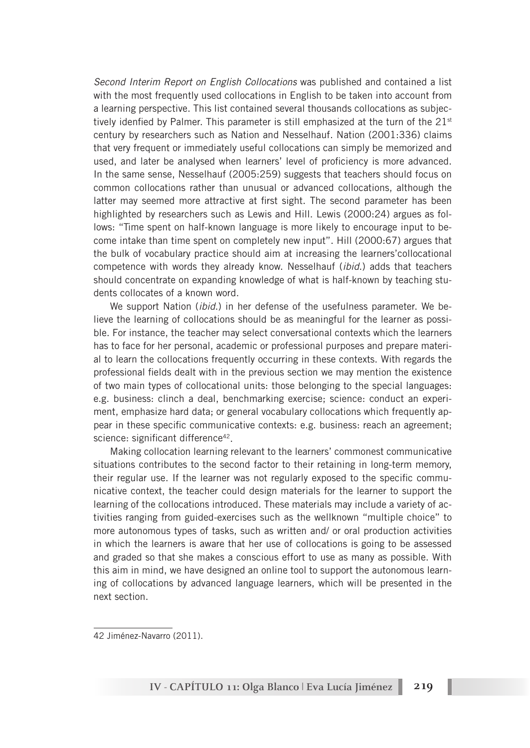*Second Interim Report on English Collocations* was published and contained a list with the most frequently used collocations in English to be taken into account from a learning perspective. This list contained several thousands collocations as subjectively idenfied by Palmer. This parameter is still emphasized at the turn of the  $21<sup>st</sup>$ century by researchers such as Nation and Nesselhauf. Nation (2001:336) claims that very frequent or immediately useful collocations can simply be memorized and used, and later be analysed when learners' level of proficiency is more advanced. In the same sense, Nesselhauf (2005:259) suggests that teachers should focus on common collocations rather than unusual or advanced collocations, although the latter may seemed more attractive at first sight. The second parameter has been highlighted by researchers such as Lewis and Hill. Lewis (2000:24) argues as follows: "Time spent on half-known language is more likely to encourage input to become intake than time spent on completely new input". Hill (2000:67) argues that the bulk of vocabulary practice should aim at increasing the learners'collocational competence with words they already know. Nesselhauf (*ibid*.) adds that teachers should concentrate on expanding knowledge of what is half-known by teaching students collocates of a known word.

We support Nation (*ibid*.) in her defense of the usefulness parameter. We believe the learning of collocations should be as meaningful for the learner as possible. For instance, the teacher may select conversational contexts which the learners has to face for her personal, academic or professional purposes and prepare material to learn the collocations frequently occurring in these contexts. With regards the professional fields dealt with in the previous section we may mention the existence of two main types of collocational units: those belonging to the special languages: e.g. business: clinch a deal, benchmarking exercise; science: conduct an experiment, emphasize hard data; or general vocabulary collocations which frequently appear in these specific communicative contexts: e.g. business: reach an agreement; science: significant difference<sup>42</sup>.

Making collocation learning relevant to the learners' commonest communicative situations contributes to the second factor to their retaining in long-term memory, their regular use. If the learner was not regularly exposed to the specific communicative context, the teacher could design materials for the learner to support the learning of the collocations introduced. These materials may include a variety of activities ranging from guided-exercises such as the wellknown "multiple choice" to more autonomous types of tasks, such as written and/ or oral production activities in which the learners is aware that her use of collocations is going to be assessed and graded so that she makes a conscious effort to use as many as possible. With this aim in mind, we have designed an online tool to support the autonomous learning of collocations by advanced language learners, which will be presented in the next section.

<sup>42</sup> Jiménez-Navarro (2011).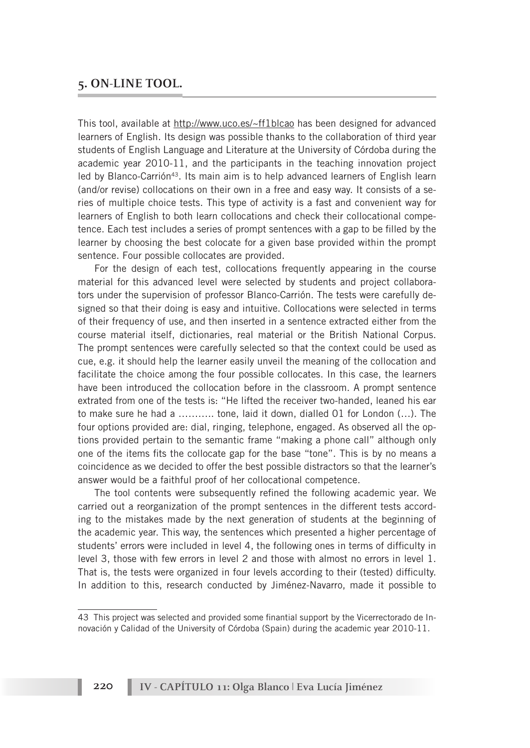#### **5. ON-LINE TOOL.**

This tool, available at http://www.uco.es/~ff1blcao has been designed for advanced learners of English. Its design was possible thanks to the collaboration of third year students of English Language and Literature at the University of Córdoba during the academic year 2010-11, and the participants in the teaching innovation project led by Blanco-Carrión43. Its main aim is to help advanced learners of English learn (and/or revise) collocations on their own in a free and easy way. It consists of a series of multiple choice tests. This type of activity is a fast and convenient way for learners of English to both learn collocations and check their collocational competence. Each test includes a series of prompt sentences with a gap to be filled by the learner by choosing the best colocate for a given base provided within the prompt sentence. Four possible collocates are provided.

For the design of each test, collocations frequently appearing in the course material for this advanced level were selected by students and project collaborators under the supervision of professor Blanco-Carrión. The tests were carefully designed so that their doing is easy and intuitive. Collocations were selected in terms of their frequency of use, and then inserted in a sentence extracted either from the course material itself, dictionaries, real material or the British National Corpus. The prompt sentences were carefully selected so that the context could be used as cue, e.g. it should help the learner easily unveil the meaning of the collocation and facilitate the choice among the four possible collocates. In this case, the learners have been introduced the collocation before in the classroom. A prompt sentence extrated from one of the tests is: "He lifted the receiver two-handed, leaned his ear to make sure he had a ……….. tone, laid it down, dialled 01 for London (…). The four options provided are: dial, ringing, telephone, engaged. As observed all the options provided pertain to the semantic frame "making a phone call" although only one of the items fits the collocate gap for the base "tone". This is by no means a coincidence as we decided to offer the best possible distractors so that the learner's answer would be a faithful proof of her collocational competence.

The tool contents were subsequently refined the following academic year. We carried out a reorganization of the prompt sentences in the different tests according to the mistakes made by the next generation of students at the beginning of the academic year. This way, the sentences which presented a higher percentage of students' errors were included in level 4, the following ones in terms of difficulty in level 3, those with few errors in level 2 and those with almost no errors in level 1. That is, the tests were organized in four levels according to their (tested) difficulty. In addition to this, research conducted by Jiménez-Navarro, made it possible to

**220 IV - CAPÍTULO 11: Olga Blanco | Eva Lucía Jiménez**

<sup>43</sup> This project was selected and provided some finantial support by the Vicerrectorado de Innovación y Calidad of the University of Córdoba (Spain) during the academic year 2010-11.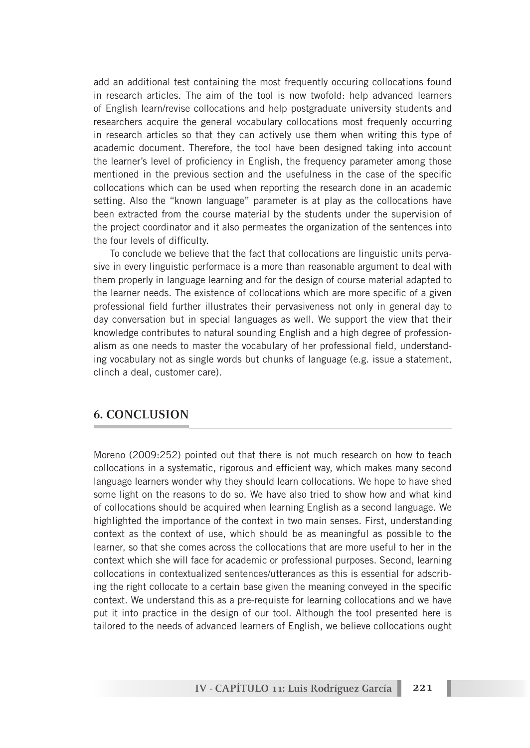add an additional test containing the most frequently occuring collocations found in research articles. The aim of the tool is now twofold: help advanced learners of English learn/revise collocations and help postgraduate university students and researchers acquire the general vocabulary collocations most frequenly occurring in research articles so that they can actively use them when writing this type of academic document. Therefore, the tool have been designed taking into account the learner's level of proficiency in English, the frequency parameter among those mentioned in the previous section and the usefulness in the case of the specific collocations which can be used when reporting the research done in an academic setting. Also the "known language" parameter is at play as the collocations have been extracted from the course material by the students under the supervision of the project coordinator and it also permeates the organization of the sentences into the four levels of difficulty.

To conclude we believe that the fact that collocations are linguistic units pervasive in every linguistic performace is a more than reasonable argument to deal with them properly in language learning and for the design of course material adapted to the learner needs. The existence of collocations which are more specific of a given professional field further illustrates their pervasiveness not only in general day to day conversation but in special languages as well. We support the view that their knowledge contributes to natural sounding English and a high degree of professionalism as one needs to master the vocabulary of her professional field, understanding vocabulary not as single words but chunks of language (e.g. issue a statement, clinch a deal, customer care).

## **6. CONCLUSION**

Moreno (2009:252) pointed out that there is not much research on how to teach collocations in a systematic, rigorous and efficient way, which makes many second language learners wonder why they should learn collocations. We hope to have shed some light on the reasons to do so. We have also tried to show how and what kind of collocations should be acquired when learning English as a second language. We highlighted the importance of the context in two main senses. First, understanding context as the context of use, which should be as meaningful as possible to the learner, so that she comes across the collocations that are more useful to her in the context which she will face for academic or professional purposes. Second, learning collocations in contextualized sentences/utterances as this is essential for adscribing the right collocate to a certain base given the meaning conveyed in the specific context. We understand this as a pre-requiste for learning collocations and we have put it into practice in the design of our tool. Although the tool presented here is tailored to the needs of advanced learners of English, we believe collocations ought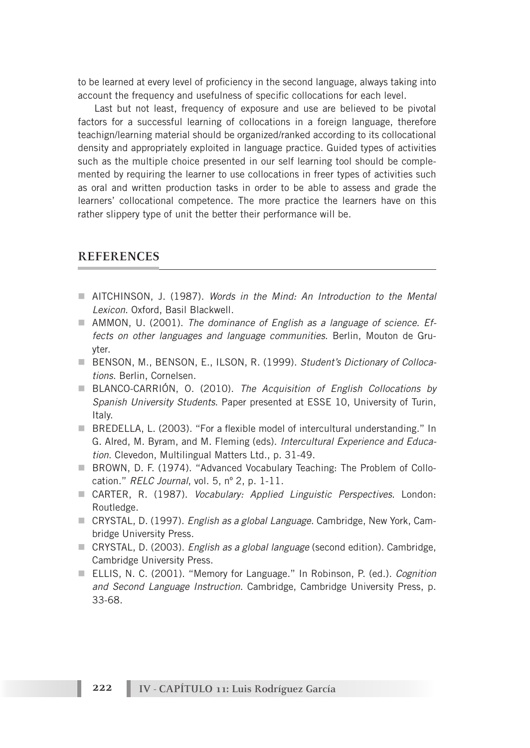to be learned at every level of proficiency in the second language, always taking into account the frequency and usefulness of specific collocations for each level.

Last but not least, frequency of exposure and use are believed to be pivotal factors for a successful learning of collocations in a foreign language, therefore teachign/learning material should be organized/ranked according to its collocational density and appropriately exploited in language practice. Guided types of activities such as the multiple choice presented in our self learning tool should be complemented by requiring the learner to use collocations in freer types of activities such as oral and written production tasks in order to be able to assess and grade the learners' collocational competence. The more practice the learners have on this rather slippery type of unit the better their performance will be.

#### **REFERENCES**

- n AITCHINSON, J. (1987). *Words in the Mind: An Introduction to the Mental Lexicon*. Oxford, Basil Blackwell.
- AMMON, U. (2001). *The dominance of English as a language of science. Effects on other languages and language communities*. Berlin, Mouton de Gruyter.
- BENSON, M., BENSON, E., ILSON, R. (1999). *Student's Dictionary of Collocations*. Berlin, Cornelsen.
- BLANCO-CARRIÓN, O. (2010). *The Acquisition of English Collocations by Spanish University Students*. Paper presented at ESSE 10, University of Turin, Italy.
- BREDELLA, L. (2003). "For a flexible model of intercultural understanding." In G. Alred, M. Byram, and M. Fleming (eds). *Intercultural Experience and Education*. Clevedon, Multilingual Matters Ltd., p. 31-49.
- **E.** BROWN, D. F. (1974). "Advanced Vocabulary Teaching: The Problem of Collocation." *RELC Journal*, vol. 5, nº 2, p. 1-11.
- n CARTER, R. (1987). *Vocabulary: Applied Linguistic Perspectives*. London: Routledge.
- n CRYSTAL, D. (1997). *English as a global Language*. Cambridge, New York, Cambridge University Press.
- n CRYSTAL, D. (2003). *English as a global language* (second edition). Cambridge, Cambridge University Press.
- ELLIS, N. C. (2001). "Memory for Language." In Robinson, P. (ed.). *Cognition and Second Language Instruction*. Cambridge, Cambridge University Press, p. 33-68.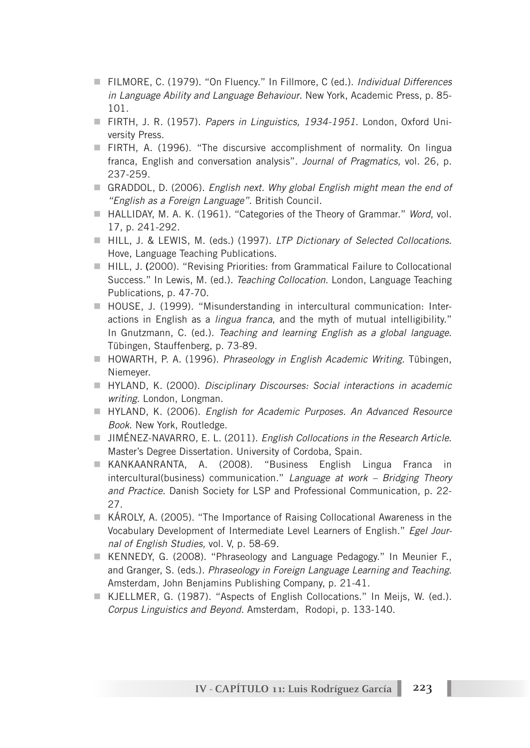- FILMORE, C. (1979). "On Fluency." In Fillmore, C (ed.). *Individual Differences in Language Ability and Language Behaviour*. New York, Academic Press, p. 85- 101.
- n FIRTH, J. R. (1957). *Papers in Linguistics, 1934-1951*. London, Oxford University Press.
- FIRTH, A. (1996). "The discursive accomplishment of normality. On lingua franca, English and conversation analysis". *Journal of Pragmatics,* vol. 26, p. 237-259.
- GRADDOL, D. (2006). *English next. Why global English might mean the end of "English as a Foreign Language"*. British Council.
- HALLIDAY, M. A. K. (1961). "Categories of the Theory of Grammar." Word, vol. 17, p. 241-292.
- HILL, J. & LEWIS, M. (eds.) (1997). *LTP Dictionary of Selected Collocations*. Hove, Language Teaching Publications.
- HILL, J. (2000). "Revising Priorities: from Grammatical Failure to Collocational Success." In Lewis, M. (ed.). *Teaching Collocation*. London, Language Teaching Publications, p. 47-70.
- $\blacksquare$  HOUSE, J. (1999). "Misunderstanding in intercultural communication: Interactions in English as a *lingua franca*, and the myth of mutual intelligibility." In Gnutzmann, C. (ed.). *Teaching and learning English as a global language*. Tübingen, Stauffenberg, p. 73-89.
- HOWARTH, P. A. (1996). *Phraseology in English Academic Writing*. Tübingen, Niemeyer.
- HYLAND, K. (2000). *Disciplinary Discourses: Social interactions in academic writing*. London, Longman.
- HYLAND, K. (2006). *English for Academic Purposes. An Advanced Resource Book*. New York, Routledge.
- JIMÉNEZ-NAVARRO, E. L. (2011). *English Collocations in the Research Article*. Master's Degree Dissertation. University of Cordoba, Spain.
- n KANKAANRANTA, A. (2008). "Business English Lingua Franca in intercultural(business) communication." *Language at work – Bridging Theory and Practice*. Danish Society for LSP and Professional Communication, p. 22- 27.
- $\blacksquare$  KÁROLY, A. (2005). "The Importance of Raising Collocational Awareness in the Vocabulary Development of Intermediate Level Learners of English." *Egel Journal of English Studies,* vol. V, p. 58-69.
- n KENNEDY, G. (2008). "Phraseology and Language Pedagogy." In Meunier F., and Granger, S. (eds.). *Phraseology in Foreign Language Learning and Teaching*. Amsterdam, John Benjamins Publishing Company, p. 21-41.
- KJELLMER, G. (1987). "Aspects of English Collocations." In Meijs, W. (ed.). *Corpus Linguistics and Beyond*. Amsterdam, Rodopi, p. 133-140.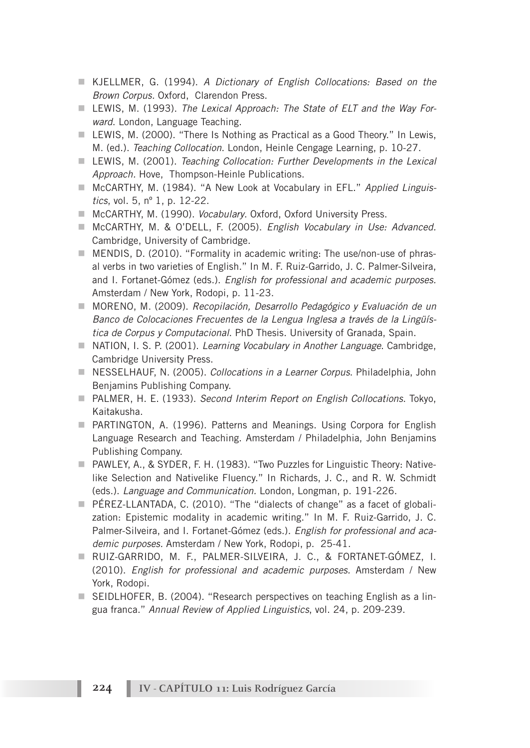- KJELLMER, G. (1994). *A Dictionary of English Collocations: Based on the Brown Corpus.* Oxford, Clarendon Press.
- LEWIS, M. (1993). *The Lexical Approach: The State of ELT and the Way Forward*. London, Language Teaching.
- $\blacksquare$  LEWIS, M. (2000). "There Is Nothing as Practical as a Good Theory." In Lewis, M. (ed.). *Teaching Collocation*. London, Heinle Cengage Learning, p. 10-27.
- LEWIS, M. (2001). *Teaching Collocation: Further Developments in the Lexical Approach.* Hove, Thompson-Heinle Publications.
- McCARTHY, M. (1984). "A New Look at Vocabulary in EFL." *Applied Linguistics*, vol. 5, nº 1, p. 12-22.
- McCARTHY, M. (1990). *Vocabulary*. Oxford, Oxford University Press.
- McCARTHY, M. & O'DELL, F. (2005). *English Vocabulary in Use: Advanced.* Cambridge, University of Cambridge.
- $\blacksquare$  MENDIS, D. (2010). "Formality in academic writing: The use/non-use of phrasal verbs in two varieties of English." In M. F. Ruiz-Garrido, J. C. Palmer-Silveira, and I. Fortanet-Gómez (eds.). *English for professional and academic purposes.*  Amsterdam / New York, Rodopi, p. 11-23.
- MORENO, M. (2009). *Recopilación, Desarrollo Pedagógico y Evaluación de un Banco de Colocaciones Frecuentes de la Lengua Inglesa a través de la Lingüística de Corpus y Computacional*. PhD Thesis. University of Granada, Spain.
- NATION, I. S. P. (2001). *Learning Vocabulary in Another Language*. Cambridge, Cambridge University Press.
- NESSELHAUF, N. (2005). *Collocations in a Learner Corpus*. Philadelphia, John Benjamins Publishing Company.
- n PALMER, H. E. (1933). *Second Interim Report on English Collocations*. Tokyo, Kaitakusha.
- **n** PARTINGTON, A. (1996). Patterns and Meanings. Using Corpora for English Language Research and Teaching. Amsterdam / Philadelphia, John Benjamins Publishing Company.
- PAWLEY, A., & SYDER, F. H. (1983). "Two Puzzles for Linguistic Theory: Nativelike Selection and Nativelike Fluency." In Richards, J. C., and R. W. Schmidt (eds.). *Language and Communication.* London, Longman, p. 191-226.
- $\blacksquare$  PÉREZ-LLANTADA, C. (2010). "The "dialects of change" as a facet of globalization: Epistemic modality in academic writing." In M. F. Ruiz-Garrido, J. C. Palmer-Silveira, and I. Fortanet-Gómez (eds.). *English for professional and academic purposes.* Amsterdam / New York, Rodopi, p. 25-41.
- n RUIZ-GARRIDO, M. F., PALMER-SILVEIRA, J. C., & FORTANET-GÓMEZ, I. (2010). *English for professional and academic purposes.* Amsterdam / New York, Rodopi.
- SEIDLHOFER, B. (2004). "Research perspectives on teaching English as a lingua franca." *Annual Review of Applied Linguistics*, vol. 24, p. 209-239.